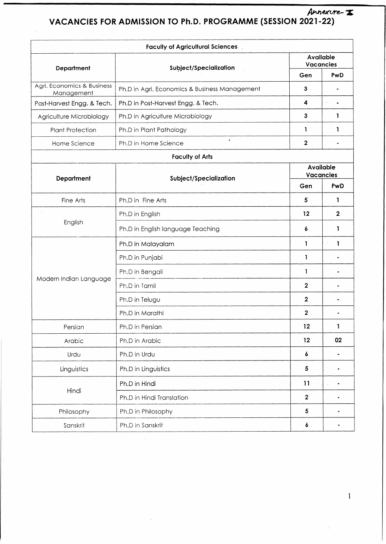*Am exure-TZ*

|                                          | <b>Faculty of Agricultural Sciences</b>       |                               |              |
|------------------------------------------|-----------------------------------------------|-------------------------------|--------------|
| Department                               | Subject/Specialization                        | Available<br>Vacancies        |              |
|                                          |                                               | Gen                           | PwD          |
| Agri. Economics & Business<br>Management | Ph.D in Agri. Economics & Business Management | 3                             |              |
| Post-Harvest Engg. & Tech.               | Ph.D in Post-Harvest Engg. & Tech.            | 4                             | $\bar{\phi}$ |
| Agriculture Microbiology                 | Ph.D in Agriculture Microbiology              | 3                             | 1            |
| <b>Plant Protection</b>                  | Ph.D in Plant Pathology                       | 1                             | 1            |
| Home Science                             | Ph.D in Home Science                          | $\mathbf{2}$                  |              |
|                                          | <b>Faculty of Arts</b>                        |                               |              |
| Department                               | Subject/Specialization                        | Available<br><b>Vacancies</b> |              |
|                                          |                                               | Gen                           | PwD          |
| Fine Arts                                | Ph.D in Fine Arts                             | 5                             | $\mathbf{1}$ |
|                                          | Ph.D in English                               | 12                            | $\mathbf{2}$ |
| English                                  | Ph.D in English language Teaching             | 6                             | 1            |
|                                          | Ph.D in Malayalam                             | 1                             | $\cdot$<br>1 |
|                                          | Ph.D in Punjabi                               | 1                             |              |
|                                          | Ph.D in Bengali                               | $\mathbf{1}$                  |              |
| Modern Indian Language                   | Ph.D in Tamil                                 | $\overline{2}$                |              |
|                                          | Ph.D in Telugu                                | $\boldsymbol{2}$              |              |
|                                          | Ph.D in Marathi                               | $\boldsymbol{2}$              |              |
| Persian                                  | Ph.D in Persian                               | 12                            | 1            |
| Arabic                                   | Ph.D in Arabic                                | 12                            | 02           |
| Urdu                                     | Ph.D in Urdu                                  | 6                             |              |
| Linguistics                              | Ph.D in Linguistics                           | 5                             |              |
|                                          | Ph.D in Hindi                                 | 11                            |              |
| Hindi                                    | Ph.D in Hindi Translation                     | $\overline{2}$                |              |
| Philosophy                               | Ph.D in Philosophy                            | 5                             |              |
| Sanskrit                                 | Ph.D in Sanskrit                              | 6                             |              |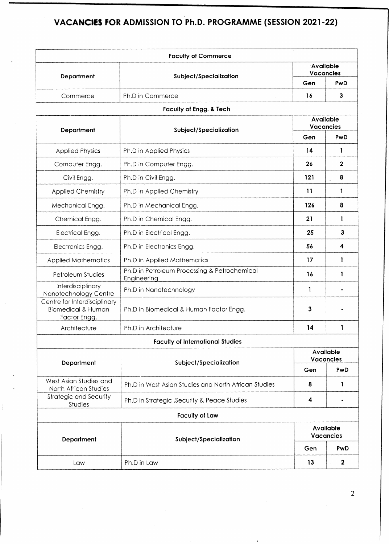|                                                                                                                          | <b>Faculty of Commerce</b>                           |                               |                  |
|--------------------------------------------------------------------------------------------------------------------------|------------------------------------------------------|-------------------------------|------------------|
| Department                                                                                                               | Subject/Specialization                               | Available<br><b>Vacancies</b> |                  |
|                                                                                                                          |                                                      | Gen                           | PwD              |
| Ph.D in Commerce<br>Commerce                                                                                             |                                                      | 16                            | 3                |
| Faculty of Engg. & Tech                                                                                                  |                                                      |                               |                  |
|                                                                                                                          | Subject/Specialization                               | Available<br>Vacancies        |                  |
| Department                                                                                                               |                                                      | Gen                           | PwD              |
| <b>Applied Physics</b><br>Ph.D in Applied Physics                                                                        |                                                      | 14                            | 1                |
| Computer Engg.<br>Ph.D in Computer Engg.                                                                                 |                                                      | 26                            | $\mathbf 2$      |
| Civil Engg.<br>Ph.D in Civil Engg.                                                                                       |                                                      | 121                           | 8                |
| Ph.D in Applied Chemistry<br><b>Applied Chemistry</b>                                                                    |                                                      | 11                            | 1                |
| Mechanical Engg.<br>Ph.D in Mechanical Engg.                                                                             |                                                      | 126                           | 8                |
| Chemical Engg.<br>Ph.D in Chemical Engg.                                                                                 |                                                      | 21                            | 1                |
| Electrical Engg.<br>Ph.D in Electrical Engg.                                                                             |                                                      | 25                            | 3                |
| Ph.D in Electronics Engg.<br>Electronics Engg.                                                                           |                                                      | 56                            | 4                |
| <b>Applied Mathematics</b><br>Ph.D in Applied Mathematics                                                                |                                                      | 17                            | 1                |
| Ph.D in Petroleum Processing & Petrochemical<br>Petroleum Studies<br>Engineering                                         |                                                      | 16                            | 1                |
| Interdisciplinary<br>Ph.D in Nanotechnology<br>Nanotechnology Centre                                                     |                                                      | 1                             |                  |
| Centre for Interdisciplinary<br><b>Biomedical &amp; Human</b><br>Ph.D in Biomedical & Human Factor Engg.<br>Factor Engg. |                                                      | 3                             |                  |
| Architecture<br>Ph.D in Architecture                                                                                     |                                                      | 14                            | 1                |
| <b>Faculty of International Studies</b>                                                                                  |                                                      |                               |                  |
|                                                                                                                          |                                                      | Available<br>Vacancies        |                  |
| Department                                                                                                               | Subject/Specialization                               | Gen                           | PwD              |
| West Asian Studies and<br>North African Studies                                                                          | Ph.D in West Asian Studies and North African Studies | 8                             | 1                |
| Strategic and Security<br>Ph.D in Strategic , Security & Peace Studies<br>Studies                                        |                                                      | 4                             |                  |
| Faculty of Law                                                                                                           |                                                      |                               |                  |
| Department                                                                                                               | Subject/Specialization                               | Available<br>Vacancies        |                  |
|                                                                                                                          |                                                      | Gen                           | PwD              |
|                                                                                                                          |                                                      | 13                            | $\boldsymbol{2}$ |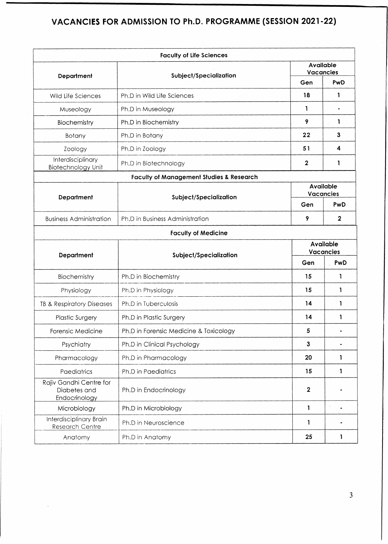|                                                          | <b>Faculty of Life Sciences</b>                     |                  |                               |  |
|----------------------------------------------------------|-----------------------------------------------------|------------------|-------------------------------|--|
| Department                                               | Subject/Specialization                              |                  | Available<br><b>Vacancies</b> |  |
|                                                          |                                                     | Gen              | PwD                           |  |
| Wild Life Sciences                                       | Ph.D in Wild Life Sciences                          | 18               | 1                             |  |
| Museology                                                | Ph.D in Museology                                   | 1                |                               |  |
| Biochemistry                                             | Ph.D in Biochemistry                                | 9                | 1                             |  |
| Botany                                                   | Ph.D in Botany                                      | 22               | 3                             |  |
| Zoology                                                  | Ph.D in Zoology                                     | 51               | 4                             |  |
| Interdisciplinary<br>Biotechnology Unit                  | Ph.D in Biotechnology                               | $\boldsymbol{2}$ | 1                             |  |
|                                                          | <b>Faculty of Management Studies &amp; Research</b> |                  |                               |  |
| Department                                               | Subject/Specialization                              |                  | Available<br>Vacancies        |  |
|                                                          |                                                     | Gen              | PwD                           |  |
| <b>Business Administration</b>                           | Ph.D in Business Administration                     | 9                | $\boldsymbol{2}$              |  |
|                                                          | <b>Faculty of Medicine</b>                          |                  |                               |  |
|                                                          | Subject/Specialization                              |                  | Available<br><b>Vacancies</b> |  |
| Department                                               |                                                     | Gen              | PwD                           |  |
| Biochemistry                                             | Ph.D in Biochemistry                                | 15               | 1                             |  |
| Physiology                                               | Ph.D in Physiology                                  | 15               | 1                             |  |
| TB & Respiratory Diseases                                | Ph.D in Tuberculosis                                | 14               | 1                             |  |
| Plastic Surgery                                          | Ph.D in Plastic Surgery                             | 14               | 1                             |  |
| Forensic Medicine                                        | Ph.D in Forensic Medicine & Toxicology              | 5                |                               |  |
| Psychiatry                                               | Ph.D in Clinical Psychology                         | $\mathbf{3}$     |                               |  |
| Pharmacology                                             | Ph.D in Pharmacology                                | 20               | 1                             |  |
| Paediatrics                                              | Ph.D in Paediatrics                                 | 15               | $\cdot$ 1                     |  |
| Rajiv Gandhi Centre for<br>Diabetes and<br>Endocrinology | Ph.D in Endocrinology                               | $\boldsymbol{2}$ |                               |  |
| Microbiology                                             | Ph.D in Microbiology                                | 1                |                               |  |
| Interdisciplinary Brain<br>Research Centre               | Ph.D in Neuroscience                                | 1                |                               |  |
| Anatomy                                                  | Ph.D in Anatomy                                     | 25               | 1                             |  |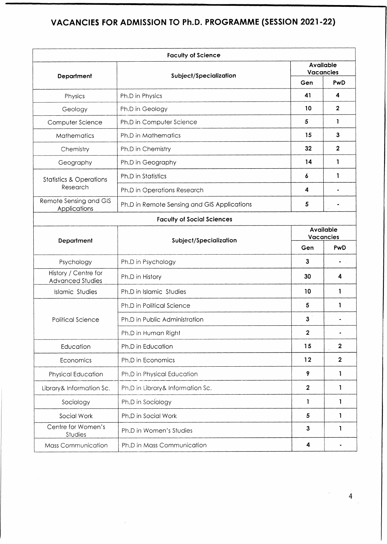| <b>Faculty of Science</b>                       |                                             |                        |                               |  |
|-------------------------------------------------|---------------------------------------------|------------------------|-------------------------------|--|
| Department                                      | Subject/Specialization                      |                        | Available<br><b>Vacancies</b> |  |
|                                                 |                                             | Gen                    | PwD                           |  |
| Physics                                         | Ph.D in Physics                             | 41                     | 4                             |  |
| Geology                                         | Ph.D in Geology                             | 10                     | $\boldsymbol{2}$              |  |
| Computer Science                                | Ph.D in Computer Science                    | 5                      | 1                             |  |
| Mathematics                                     | Ph.D in Mathematics                         | 15                     | 3                             |  |
| Chemistry                                       | Ph.D in Chemistry                           | 32                     | $\mathbf{2}$                  |  |
| Geography                                       | Ph.D in Geography                           | 14                     | 1                             |  |
| <b>Statistics &amp; Operations</b>              | Ph.D in Statistics                          | 6                      | 1                             |  |
| Research                                        | Ph.D in Operations Research                 | 4                      |                               |  |
| Remote Sensing and GIS<br>Applications          | Ph.D in Remote Sensing and GIS Applications | 5                      |                               |  |
|                                                 | <b>Faculty of Social Sciences</b>           |                        |                               |  |
|                                                 | Subject/Specialization                      | Available<br>Vacancies |                               |  |
| Department                                      |                                             | Gen                    | PwD                           |  |
| Psychology                                      | Ph.D in Psychology                          | 3                      | $\bullet$ . $\bullet$ .       |  |
| History / Centre for<br><b>Advanced Studies</b> | Ph.D in History                             | 30                     | 4                             |  |
| <b>Islamic Studies</b>                          | Ph.D in Islamic Studies                     | 10                     | 1                             |  |
|                                                 | Ph.D in Political Science                   | 5                      | 1                             |  |
| <b>Political Science</b>                        | Ph.D in Public Administration               | 3                      |                               |  |
|                                                 | Ph.D in Human Right                         | $\mathbf 2$            |                               |  |
| Education                                       | Ph.D in Education                           | 15                     | $\mathbf 2$                   |  |
| Economics                                       | Ph.D in Economics                           | 12                     | $\boldsymbol{2}$              |  |
| Physical Education                              | Ph.D in Physical Education                  | 9                      | 1                             |  |
| Library& Information Sc.                        | Ph.D in Library& Information Sc.            | $\mathbf{2}$           | 1                             |  |
| Sociology                                       | Ph.D in Sociology                           | 1                      | 1                             |  |
| Social Work                                     | Ph.D in Social Work                         | 5                      | 1                             |  |
| Centre for Women's<br>Studies                   | Ph.D in Women's Studies                     | $\mathbf{3}$           | 1                             |  |
| Mass Communication                              | Ph.D in Mass Communication                  | 4                      |                               |  |

**4**